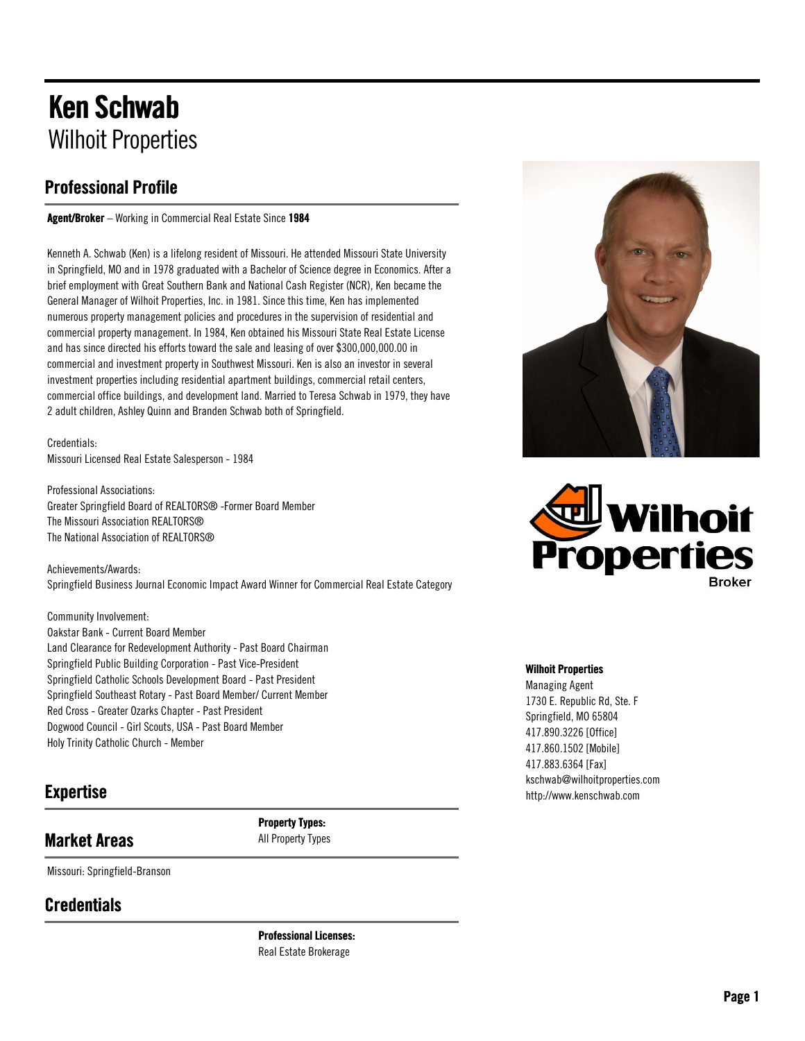# Ken Schwab Wilhoit Properties

### Professional Profile

Agent/Broker – Working in Commercial Real Estate Since 1984

Kenneth A. Schwab (Ken) is a lifelong resident of Missouri. He attended Missouri State University in Springfield, MO and in 1978 graduated with a Bachelor of Science degree in Economics. After a brief employment with Great Southern Bank and National Cash Register (NCR), Ken became the General Manager of Wilhoit Properties, Inc. in 1981. Since this time, Ken has implemented numerous property management policies and procedures in the supervision of residential and commercial property management. In 1984, Ken obtained his Missouri State Real Estate License and has since directed his efforts toward the sale and leasing of over \$300,000,000.00 in commercial and investment property in Southwest Missouri. Ken is also an investor in several investment properties including residential apartment buildings, commercial retail centers, commercial office buildings, and development land. Married to Teresa Schwab in 1979, they have 2 adult children, Ashley Quinn and Branden Schwab both of Springfield.

Credentials: Missouri Licensed Real Estate Salesperson - 1984

Professional Associations: Greater Springfield Board of REALTORS® -Former Board Member The Missouri Association REALTORS® The National Association of REALTORS®

Achievements/Awards: Springfield Business Journal Economic Impact Award Winner for Commercial Real Estate Category

Community Involvement: Oakstar Bank - Current Board Member Land Clearance for Redevelopment Authority - Past Board Chairman Springfield Public Building Corporation - Past Vice-President Springfield Catholic Schools Development Board - Past President Springfield Southeast Rotary - Past Board Member/ Current Member Red Cross - Greater Ozarks Chapter - Past President Dogwood Council - Girl Scouts, USA - Past Board Member Holy Trinity Catholic Church - Member

### Expertise

## Market Areas

Missouri: Springfield-Branson

### **Credentials**

Professional Licenses: Real Estate Brokerage

Property Types: All Property Types





#### Wilhoit Properties

Managing Agent 1730 E. Republic Rd, Ste. F Springfield, MO 65804 417.890.3226 [Office] 417.860.1502 [Mobile] 417.883.6364 [Fax] kschwab@wilhoitproperties.com http://www.kenschwab.com